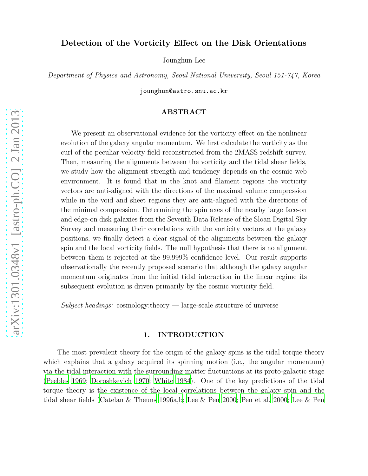# Detection of the Vorticity Effect on the Disk Orientations

Jounghun Lee

Department of Physics and Astronomy, Seoul National University, Seoul 151-747, Korea

jounghun@astro.snu.ac.kr

# ABSTRACT

We present an observational evidence for the vorticity effect on the nonlinear evolution of the galaxy angular momentum. We first calculate the vorticity as the curl of the peculiar velocity field reconstructed from the 2MASS redshift survey. Then, measuring the alignments between the vorticity and the tidal shear fields, we study how the alignment strength and tendency depends on the cosmic web environment. It is found that in the knot and filament regions the vorticity vectors are anti-aligned with the directions of the maximal volume compression while in the void and sheet regions they are anti-aligned with the directions of the minimal compression. Determining the spin axes of the nearby large face-on and edge-on disk galaxies from the Seventh Data Release of the Sloan Digital Sky Survey and measuring their correlations with the vorticity vectors at the galaxy positions, we finally detect a clear signal of the alignments between the galaxy spin and the local vorticity fields. The null hypothesis that there is no alignment between them is rejected at the 99.999% confidence level. Our result supports observationally the recently proposed scenario that although the galaxy angular momentum originates from the initial tidal interaction in the linear regime its subsequent evolution is driven primarily by the cosmic vorticity field.

Subject headings: cosmology: theory  $\frac{1}{2}$  large-scale structure of universe

## 1. INTRODUCTION

The most prevalent theory for the origin of the galaxy spins is the tidal torque theory which explains that a galaxy acquired its spinning motion (i.e., the angular momentum) via the tidal interaction with the surrounding matter fluctuations at its proto-galactic stage [\(Peebles 1969;](#page-11-0) [Doroshkevich 1970](#page-10-0); [White 1984](#page-11-1)). One of the key predictions of the tidal torque theory is the existence of the local correlations between the galaxy spin and the tidal shear fields [\(Catelan & Theuns 1996a](#page-10-1)[,b;](#page-10-2) [Lee & Pen 2000;](#page-10-3) [Pen et](#page-11-2) al. [2000](#page-11-2); [Lee & Pen](#page-11-3)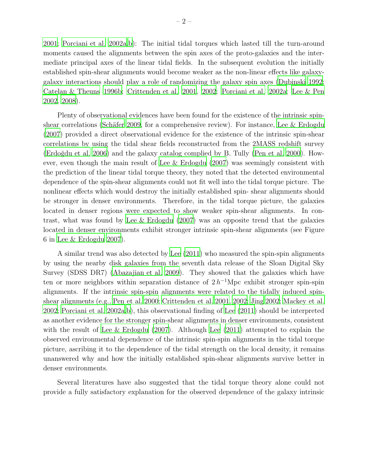[2001;](#page-11-3) [Porciani et al. 2002a](#page-11-4)[,b](#page-11-5)): The initial tidal torques which lasted till the turn-around moments caused the alignments between the spin axes of the proto-galaxies and the intermediate principal axes of the linear tidal fields. In the subsequent evolution the initially established spin-shear alignments would become weaker as the non-linear effects like galaxygalaxy interactions should play a role of randomizing the galaxy spin axes [\(Dubinski 1992;](#page-10-4) [Catelan & Theuns 1996b;](#page-10-2) [Crittenden et al. 2001,](#page-10-5) [2002;](#page-10-6) [Porciani et](#page-11-4) al. [2002a;](#page-11-4) [Lee & Pen](#page-11-6) [2002,](#page-11-6) [2008\)](#page-11-7).

Plenty of observational evidences have been found for the existence of the intrinsic spinshear correlations (Schäfer 2009, for a comprehensive review). For instance, Lee  $\&$  Erdogdu [\(2007\)](#page-11-9) provided a direct observational evidence for the existence of the intrinsic spin-shear correlations by using the tidal shear fields reconstructed from the 2MASS redshift survey (Erdoğdu et al. 2006) and the galaxy catalog complied by B. Tully [\(Pen et al. 2000](#page-11-2)). However, even though the main result of [Lee & Erdogdu \(2007](#page-11-9)) was seemingly consistent with the prediction of the linear tidal torque theory, they noted that the detected environmental dependence of the spin-shear alignments could not fit well into the tidal torque picture. The nonlinear effects which would destroy the initially established spin- shear alignments should be stronger in denser environments. Therefore, in the tidal torque picture, the galaxies located in denser regions were expected to show weaker spin-shear alignments. In contrast, what was found by [Lee & Erdogdu \(2007\)](#page-11-9) was an opposite trend that the galaxies located in denser environments exhibit stronger intrinsic spin-shear alignments (see Figure 6 in [Lee & Erdogdu 2007](#page-11-9)).

A similar trend was also detected by [Lee \(2011\)](#page-11-10) who measured the spin-spin alignments by using the nearby disk galaxies from the seventh data release of the Sloan Digital Sky Survey (SDSS DR7) [\(Abazajian et al. 2009\)](#page-10-8). They showed that the galaxies which have ten or more neighbors within separation distance of  $2 h^{-1}$ Mpc exhibit stronger spin-spin alignments. If the intrinsic spin-spin alignments were related to the tidally induced spinshear alignments (e.g., [Pen et al. 2000;](#page-11-2) [Crittenden et al. 2001](#page-10-5), [2002;](#page-10-6) [Jing 2002](#page-10-9); [Mackey et al.](#page-11-11) [2002;](#page-11-11) [Porciani et al. 2002a](#page-11-4)[,b\)](#page-11-5), this observational finding of [Lee \(2011](#page-11-10)) should be interpreted as another evidence for the stronger spin-shear alignments in denser environments, consistent with the result of [Lee & Erdogdu \(2007](#page-11-9)). Although [Lee \(2011\)](#page-11-10) attempted to explain the observed environmental dependence of the intrinsic spin-spin alignments in the tidal torque picture, ascribing it to the dependence of the tidal strength on the local density, it remains unanswered why and how the initially established spin-shear alignments survive better in denser environments.

Several literatures have also suggested that the tidal torque theory alone could not provide a fully satisfactory explanation for the observed dependence of the galaxy intrinsic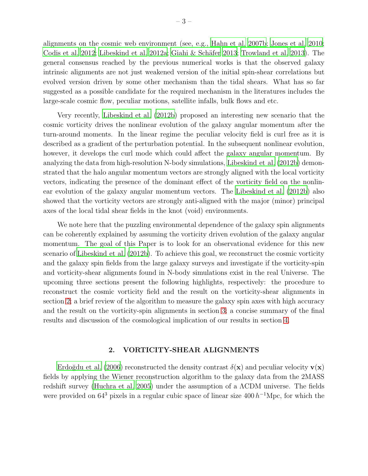alignments on the cosmic web environment (see, e.g., [Hahn et al. 2007b](#page-10-10); [Jones et al. 2010;](#page-10-11) [Codis et al. 2012](#page-10-12); [Libeskind et al. 2012a](#page-11-12); Giahi & Schäfer 2013; [Trowland et al. 2013\)](#page-11-13). The general consensus reached by the previous numerical works is that the observed galaxy intrinsic alignments are not just weakened version of the initial spin-shear correlations but evolved version driven by some other mechanism than the tidal shears. What has so far suggested as a possible candidate for the required mechanism in the literatures includes the large-scale cosmic flow, peculiar motions, satellite infalls, bulk flows and etc.

Very recently, [Libeskind et al. \(2012b\)](#page-11-14) proposed an interesting new scenario that the cosmic vorticity drives the nonlinear evolution of the galaxy angular momentum after the turn-around moments. In the linear regime the peculiar velocity field is curl free as it is described as a gradient of the perturbation potential. In the subsequent nonlinear evolution, however, it develops the curl mode which could affect the galaxy angular momentum. By analyzing the data from high-resolution N-body simulations, [Libeskind et al. \(2012b](#page-11-14)) demonstrated that the halo angular momentum vectors are strongly aligned with the local vorticity vectors, indicating the presence of the dominant effect of the vorticity field on the nonlinear evolution of the galaxy angular momentum vectors. The [Libeskind et al. \(2012b](#page-11-14)) also showed that the vorticity vectors are strongly anti-aligned with the major (minor) principal axes of the local tidal shear fields in the knot (void) environments.

We note here that the puzzling environmental dependence of the galaxy spin alignments can be coherently explained by assuming the vorticity driven evolution of the galaxy angular momentum. The goal of this Paper is to look for an observational evidence for this new scenario of [Libeskind et al. \(2012b\)](#page-11-14). To achieve this goal, we reconstruct the cosmic vorticity and the galaxy spin fields from the large galaxy surveys and investigate if the vorticity-spin and vorticity-shear alignments found in N-body simulations exist in the real Universe. The upcoming three sections present the following highlights, respectively: the procedure to reconstruct the cosmic vorticity field and the result on the vorticity-shear alignments in section [2;](#page-2-0) a brief review of the algorithm to measure the galaxy spin axes with high accuracy and the result on the vorticity-spin alignments in section [3;](#page-4-0) a concise summary of the final results and discussion of the cosmological implication of our results in section [4.](#page-7-0)

## 2. VORTICITY-SHEAR ALIGNMENTS

<span id="page-2-0"></span>Erdoğdu et al. (2006) reconstructed the density contrast  $\delta(\mathbf{x})$  and peculiar velocity  $\mathbf{v}(\mathbf{x})$ fields by applying the Wiener reconstruction algorithm to the galaxy data from the 2MASS redshift survey [\(Huchra et al. 2005\)](#page-10-14) under the assumption of a ΛCDM universe. The fields were provided on  $64^3$  pixels in a regular cubic space of linear size  $400 h^{-1}$ Mpc, for which the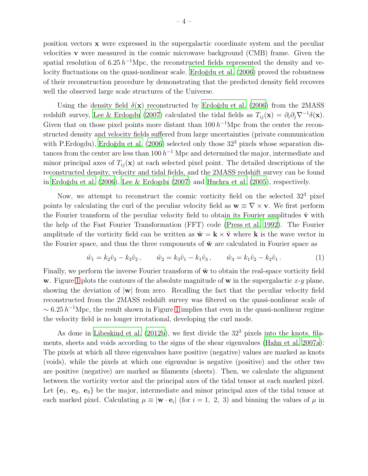position vectors x were expressed in the supergalactic coordinate system and the peculiar velocities v were measured in the cosmic microwave background (CMB) frame. Given the spatial resolution of  $6.25 h^{-1}$ Mpc, the reconstructed fields represented the density and velocity fluctuations on the quasi-nonlinear scale. Erdoğdu et al. (2006) proved the robustness of their reconstruction procedure by demonstrating that the predicted density field recovers well the observed large scale structures of the Universe.

Using the density field  $\delta(\mathbf{x})$  reconstructed by Erdoğdu et al. (2006) from the 2MASS redshift survey, [Lee & Erdogdu \(2007](#page-11-9)) calculated the tidal fields as  $T_{ij}(\mathbf{x}) = \partial_i \partial_j \nabla^{-1} \delta(\mathbf{x})$ . Given that on those pixel points more distant than  $100 h^{-1}$ Mpc from the center the reconstructed density and velocity fields suffered from large uncertainties (private communication with P.Erdogdu), Erdoğdu et al.  $(2006)$  selected only those  $32<sup>3</sup>$  pixels whose separation distances from the center are less than  $100 h^{-1}$  Mpc and determined the major, intermediate and minor principal axes of  $T_{ii}(\mathbf{x})$  at each selected pixel point. The detailed descriptions of the reconstructed density, velocity and tidal fields, and the 2MASS redshift survey can be found in Erdoğdu et al.  $(2006)$ , Lee & Erdogdu  $(2007)$  and Huchra et al.  $(2005)$ , respectively.

Now, we attempt to reconstruct the cosmic vorticity field on the selected  $32<sup>3</sup>$  pixel points by calculating the curl of the peculiar velocity field as  $\mathbf{w} \equiv \nabla \times \mathbf{v}$ . We first perform the Fourier transform of the peculiar velocity field to obtain its Fourier amplitudes  $\tilde{\mathbf{v}}$  with the help of the Fast Fourier Transformation (FFT) code [\(Press et](#page-11-15) al. [1992](#page-11-15)). The Fourier amplitude of the vorticity field can be written as  $\tilde{\mathbf{w}} = \mathbf{k} \times \tilde{\mathbf{v}}$  where **k** is the wave vector in the Fourier space, and thus the three components of  $\tilde{\mathbf{w}}$  are calculated in Fourier space as

$$
\tilde{w}_1 = k_2 \tilde{v}_3 - k_3 \tilde{v}_2, \qquad \tilde{w}_2 = k_3 \tilde{v}_1 - k_1 \tilde{v}_3, \qquad \tilde{w}_3 = k_1 \tilde{v}_2 - k_2 \tilde{v}_1. \tag{1}
$$

Finally, we perform the inverse Fourier transform of  $\tilde{\mathbf{w}}$  to obtain the real-space vorticity field w. Figure [1](#page-12-0) plots the contours of the absolute magnitude of w in the supergalactic x-y plane, showing the deviation of  $|\mathbf{w}|$  from zero. Recalling the fact that the peculiar velocity field reconstructed from the 2MASS redshift survey was filtered on the quasi-nonlinear scale of  $\sim 6.25 h^{-1}$ Mpc, the result shown in Figure [1](#page-12-0) implies that even in the quasi-nonlinear regime the velocity field is no longer irrotational, developing the curl mode.

As done in Libeskind et al.  $(2012b)$ , we first divide the  $32<sup>3</sup>$  pixels into the knots, filaments, sheets and voids according to the signs of the shear eigenvalues [\(Hahn et al. 2007a](#page-10-15)): The pixels at which all three eigenvalues have positive (negative) values are marked as knots (voids), while the pixels at which one eigenvalue is negative (positive) and the other two are positive (negative) are marked as filaments (sheets). Then, we calculate the alignment between the vorticity vector and the principal axes of the tidal tensor at each marked pixel. Let  ${e_1, e_2, e_3}$  be the major, intermediate and minor principal axes of the tidal tensor at each marked pixel. Calculating  $\mu \equiv |\mathbf{w} \cdot \mathbf{e}_i|$  (for  $i = 1, 2, 3$ ) and binning the values of  $\mu$  in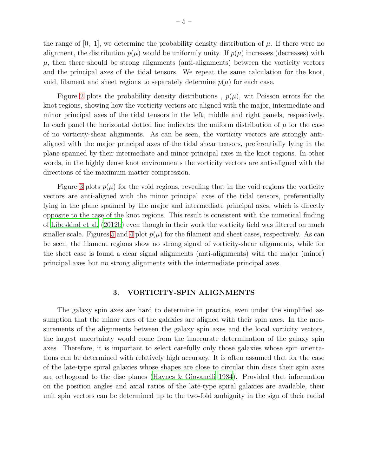the range of [0, 1], we determine the probability density distribution of  $\mu$ . If there were no alignment, the distribution  $p(\mu)$  would be uniformly unity. If  $p(\mu)$  increases (decreases) with  $\mu$ , then there should be strong alignments (anti-alignments) between the vorticity vectors and the principal axes of the tidal tensors. We repeat the same calculation for the knot, void, filament and sheet regions to separately determine  $p(\mu)$  for each case.

Figure [2](#page-13-0) plots the probability density distributions,  $p(\mu)$ , wit Poisson errors for the knot regions, showing how the vorticity vectors are aligned with the major, intermediate and minor principal axes of the tidal tensors in the left, middle and right panels, respectively. In each panel the horizontal dotted line indicates the uniform distribution of  $\mu$  for the case of no vorticity-shear alignments. As can be seen, the vorticity vectors are strongly antialigned with the major principal axes of the tidal shear tensors, preferentially lying in the plane spanned by their intermediate and minor principal axes in the knot regions. In other words, in the highly dense knot environments the vorticity vectors are anti-aligned with the directions of the maximum matter compression.

Figure [3](#page-14-0) plots  $p(\mu)$  for the void regions, revealing that in the void regions the vorticity vectors are anti-aligned with the minor principal axes of the tidal tensors, preferentially lying in the plane spanned by the major and intermediate principal axes, which is directly opposite to the case of the knot regions. This result is consistent with the numerical finding of [Libeskind et al. \(2012b](#page-11-14)) even though in their work the vorticity field was filtered on much smaller scale. Figures [5](#page-16-0) and [4](#page-15-0) plot  $p(\mu)$  for the filament and sheet cases, respectively. As can be seen, the filament regions show no strong signal of vorticity-shear alignments, while for the sheet case is found a clear signal alignments (anti-alignments) with the major (minor) principal axes but no strong alignments with the intermediate principal axes.

# 3. VORTICITY-SPIN ALIGNMENTS

<span id="page-4-0"></span>The galaxy spin axes are hard to determine in practice, even under the simplified assumption that the minor axes of the galaxies are aligned with their spin axes. In the measurements of the alignments between the galaxy spin axes and the local vorticity vectors, the largest uncertainty would come from the inaccurate determination of the galaxy spin axes. Therefore, it is important to select carefully only those galaxies whose spin orientations can be determined with relatively high accuracy. It is often assumed that for the case of the late-type spiral galaxies whose shapes are close to circular thin discs their spin axes are orthogonal to the disc planes [\(Haynes & Giovanelli 1984](#page-10-16)). Provided that information on the position angles and axial ratios of the late-type spiral galaxies are available, their unit spin vectors can be determined up to the two-fold ambiguity in the sign of their radial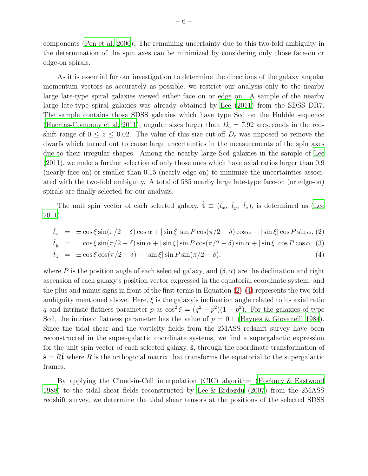components [\(Pen et al. 2000\)](#page-11-2). The remaining uncertainty due to this two-fold ambiguity in the determination of the spin axes can be minimized by considering only those face-on or edge-on spirals.

As it is essential for our investigation to determine the directions of the galaxy angular momentum vectors as accurately as possible, we restrict our analysis only to the nearby large late-type spiral galaxies viewed either face on or edge on. A sample of the nearby large late-type spiral galaxies was already obtained by [Lee \(2011](#page-11-10)) from the SDSS DR7. The sample contains those SDSS galaxies which have type Scd on the Hubble sequence [\(Huertas-Company et al. 2011\)](#page-10-17), angular sizes larger than  $D_c = 7.92$  arcseconds in the redshift range of  $0 \le z \le 0.02$ . The value of this size cut-off  $D_c$  was imposed to remove the dwarfs which turned out to cause large uncertainties in the measurements of the spin axes due to their irregular shapes. Among the nearby large Scd galaxies in the sample of [Lee](#page-11-10) [\(2011\)](#page-11-10), we make a further selection of only those ones which have axial ratios larger than 0.9 (nearly face-on) or smaller than 0.15 (nearly edge-on) to minimize the uncertainties associated with the two-fold ambiguity. A total of 585 nearby large late-type face-on (or edge-on) spirals are finally selected for our analysis.

The unit spin vector of each selected galaxy,  $\hat{\mathbf{t}} \equiv (\hat{t}_x, \hat{t}_y, \hat{t}_z)$ , is determined as [\(Lee](#page-11-10) [2011\)](#page-11-10)

<span id="page-5-0"></span>
$$
\hat{t}_x = \pm \cos \xi \sin(\pi/2 - \delta) \cos \alpha + |\sin \xi| \sin P \cos(\pi/2 - \delta) \cos \alpha - |\sin \xi| \cos P \sin \alpha, (2)
$$
  
\n
$$
\hat{t}_y = \pm \cos \xi \sin(\pi/2 - \delta) \sin \alpha + |\sin \xi| \sin P \cos(\pi/2 - \delta) \sin \alpha + |\sin \xi| \cos P \cos \alpha, (3)
$$
  
\n
$$
\hat{t}_z = \pm \cos \xi \cos(\pi/2 - \delta) - |\sin \xi| \sin P \sin(\pi/2 - \delta),
$$
\n(4)

where P is the position angle of each selected galaxy, and  $(\delta, \alpha)$  are the declination and right ascension of each galaxy's position vector expressed in the equatorial coordinate system, and the plus and minus signs in front of the first terms in Equation  $(2)-(4)$  $(2)-(4)$  represents the two-fold ambiguity mentioned above. Here,  $\xi$  is the galaxy's inclination angle related to its axial ratio q and intrinsic flatness parameter p as  $\cos^2 \xi = (q^2 - p^2)(1 - p^2)$ . For the galaxies of type Scd, the intrinsic flatness parameter has the value of  $p = 0.1$  [\(Haynes & Giovanelli 1984](#page-10-16)). Since the tidal shear and the vorticity fields from the 2MASS redshift survey have been reconstructed in the super-galactic coordinate systems, we find a supergalactic expression for the unit spin vector of each selected galaxy,  $\hat{\mathbf{s}}$ , through the coordinate transformation of  $\hat{\mathbf{s}} = R\hat{\mathbf{t}}$  where R is the orthogonal matrix that transforms the equatorial to the supergalactic frames.

By applying the Cloud-in-Cell interpolation (CIC) algorithm (Hockney [& Eastwood](#page-10-18) [1988\)](#page-10-18) to the tidal shear fields reconstructed by [Lee & Erdogdu \(2007\)](#page-11-9) from the 2MASS redshift survey, we determine the tidal shear tensors at the positions of the selected SDSS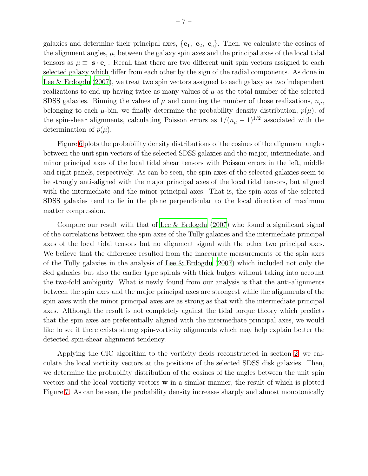galaxies and determine their principal axes,  $\{e_1, e_2, e_e\}$ . Then, we calculate the cosines of the alignment angles,  $\mu$ , between the galaxy spin axes and the principal axes of the local tidal tensors as  $\mu \equiv |\mathbf{s} \cdot \mathbf{e}_i|$ . Recall that there are two different unit spin vectors assigned to each selected galaxy which differ from each other by the sign of the radial components. As done in Lee  $&$  Erdogdu (2007), we treat two spin vectors assigned to each galaxy as two independent realizations to end up having twice as many values of  $\mu$  as the total number of the selected SDSS galaxies. Binning the values of  $\mu$  and counting the number of those realizations,  $n_{\mu}$ , belonging to each  $\mu$ -bin, we finally determine the probability density distribution,  $p(\mu)$ , of the spin-shear alignments, calculating Poisson errors as  $1/(n_{\mu} - 1)^{1/2}$  associated with the determination of  $p(\mu)$ .

Figure [6](#page-17-0) plots the probability density distributions of the cosines of the alignment angles between the unit spin vectors of the selected SDSS galaxies and the major, intermediate, and minor principal axes of the local tidal shear tensors with Poisson errors in the left, middle and right panels, respectively. As can be seen, the spin axes of the selected galaxies seem to be strongly anti-aligned with the major principal axes of the local tidal tensors, but aligned with the intermediate and the minor principal axes. That is, the spin axes of the selected SDSS galaxies tend to lie in the plane perpendicular to the local direction of maximum matter compression.

Compare our result with that of [Lee & Erdogdu \(2007](#page-11-9)) who found a significant signal of the correlations between the spin axes of the Tully galaxies and the intermediate principal axes of the local tidal tensors but no alignment signal with the other two principal axes. We believe that the difference resulted from the inaccurate measurements of the spin axes of the Tully galaxies in the analysis of [Lee & Erdogdu \(2007\)](#page-11-9) which included not only the Scd galaxies but also the earlier type spirals with thick bulges without taking into account the two-fold ambiguity. What is newly found from our analysis is that the anti-alignments between the spin axes and the major principal axes are strongest while the alignments of the spin axes with the minor principal axes are as strong as that with the intermediate principal axes. Although the result is not completely against the tidal torque theory which predicts that the spin axes are preferentially aligned with the intermediate principal axes, we would like to see if there exists strong spin-vorticity alignments which may help explain better the detected spin-shear alignment tendency.

Applying the CIC algorithm to the vorticity fields reconstructed in section [2,](#page-2-0) we calculate the local vorticity vectors at the positions of the selected SDSS disk galaxies. Then, we determine the probability distribution of the cosines of the angles between the unit spin vectors and the local vorticity vectors  $\bf{w}$  in a similar manner, the result of which is plotted Figure [7.](#page-18-0) As can be seen, the probability density increases sharply and almost monotonically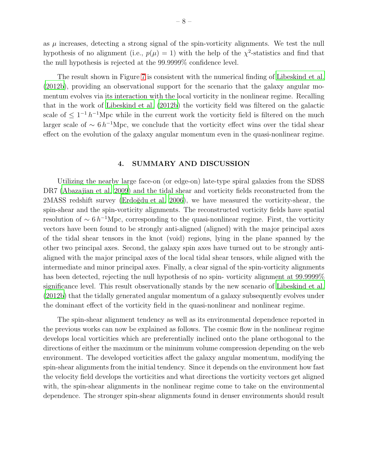as  $\mu$  increases, detecting a strong signal of the spin-vorticity alignments. We test the null hypothesis of no alignment (i.e.,  $p(\mu) = 1$ ) with the help of the  $\chi^2$ -statistics and find that the null hypothesis is rejected at the 99.9999% confidence level.

The result shown in Figure [7](#page-18-0) is consistent with the numerical finding of [Libeskind et al.](#page-11-14) [\(2012b\)](#page-11-14), providing an observational support for the scenario that the galaxy angular momentum evolves via its interaction with the local vorticity in the nonlinear regime. Recalling that in the work of [Libeskind et al. \(2012b\)](#page-11-14) the vorticity field was filtered on the galactic scale of  $\leq 1^{-1} h^{-1}$ Mpc while in the current work the vorticity field is filtered on the much larger scale of  $\sim 6 h^{-1}$ Mpc, we conclude that the vorticity effect wins over the tidal shear effect on the evolution of the galaxy angular momentum even in the quasi-nonlinear regime.

### 4. SUMMARY AND DISCUSSION

<span id="page-7-0"></span>Utilizing the nearby large face-on (or edge-on) late-type spiral galaxies from the SDSS DR7 [\(Abazajian et al. 2009](#page-10-8)) and the tidal shear and vorticity fields reconstructed from the 2MASS redshift survey (Erdoğdu et al. 2006), we have measured the vorticity-shear, the spin-shear and the spin-vorticity alignments. The reconstructed vorticity fields have spatial resolution of  $\sim 6 h^{-1}$ Mpc, corresponding to the quasi-nonlinear regime. First, the vorticity vectors have been found to be strongly anti-aligned (aligned) with the major principal axes of the tidal shear tensors in the knot (void) regions, lying in the plane spanned by the other two principal axes. Second, the galaxy spin axes have turned out to be strongly antialigned with the major principal axes of the local tidal shear tensors, while aligned with the intermediate and minor principal axes. Finally, a clear signal of the spin-vorticity alignments has been detected, rejecting the null hypothesis of no spin-vorticity alignment at  $99.9999\%$ significance level. This result observationally stands by the new scenario of [Libeskind et al.](#page-11-14) [\(2012b\)](#page-11-14) that the tidally generated angular momentum of a galaxy subsequently evolves under the dominant effect of the vorticity field in the quasi-nonlinear and nonlinear regime.

The spin-shear alignment tendency as well as its environmental dependence reported in the previous works can now be explained as follows. The cosmic flow in the nonlinear regime develops local vorticities which are preferentially inclined onto the plane orthogonal to the directions of either the maximum or the minimum volume compression depending on the web environment. The developed vorticities affect the galaxy angular momentum, modifying the spin-shear alignments from the initial tendency. Since it depends on the environment how fast the velocity field develops the vorticities and what directions the vorticity vectors get aligned with, the spin-shear alignments in the nonlinear regime come to take on the environmental dependence. The stronger spin-shear alignments found in denser environments should result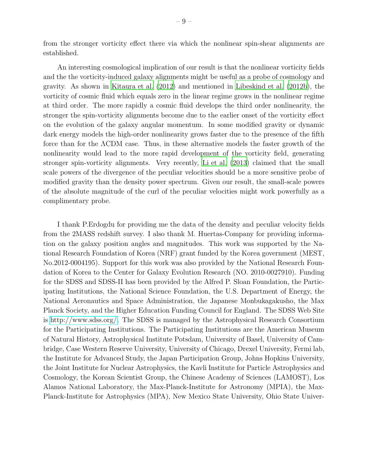from the stronger vorticity effect there via which the nonlinear spin-shear alignments are established.

An interesting cosmological implication of our result is that the nonlinear vorticity fields and the the vorticity-induced galaxy alignments might be useful as a probe of cosmology and gravity. As shown in [Kitaura et al. \(2012\)](#page-10-19) and mentioned in [Libeskind et al. \(2012b](#page-11-14)), the vorticity of cosmic fluid which equals zero in the linear regime grows in the nonlinear regime at third order. The more rapidly a cosmic fluid develops the third order nonlinearity, the stronger the spin-vorticity alignments become due to the earlier onset of the vorticity effect on the evolution of the galaxy angular momentum. In some modified gravity or dynamic dark energy models the high-order nonlinearity grows faster due to the presence of the fifth force than for the ΛCDM case. Thus, in these alternative models the faster growth of the nonlinearity would lead to the more rapid development of the vorticity field, generating stronger spin-vorticity alignments. Very recently, [Li et al. \(2013\)](#page-11-16) claimed that the small scale powers of the divergence of the peculiar velocities should be a more sensitive probe of modified gravity than the density power spectrum. Given our result, the small-scale powers of the absolute magnitude of the curl of the peculiar velocities might work powerfully as a complimentary probe.

I thank P.Erdogdu for providing me the data of the density and peculiar velocity fields from the 2MASS redshift survey. I also thank M. Huertas-Company for providing information on the galaxy position angles and magnitudes. This work was supported by the National Research Foundation of Korea (NRF) grant funded by the Korea government (MEST, No.2012-0004195). Support for this work was also provided by the National Research Foundation of Korea to the Center for Galaxy Evolution Research (NO. 2010-0027910). Funding for the SDSS and SDSS-II has been provided by the Alfred P. Sloan Foundation, the Participating Institutions, the National Science Foundation, the U.S. Department of Energy, the National Aeronautics and Space Administration, the Japanese Monbukagakusho, the Max Planck Society, and the Higher Education Funding Council for England. The SDSS Web Site is [http://www.sdss.org/.](http://www.sdss.org/) The SDSS is managed by the Astrophysical Research Consortium for the Participating Institutions. The Participating Institutions are the American Museum of Natural History, Astrophysical Institute Potsdam, University of Basel, University of Cambridge, Case Western Reserve University, University of Chicago, Drexel University, Fermi lab, the Institute for Advanced Study, the Japan Participation Group, Johns Hopkins University, the Joint Institute for Nuclear Astrophysics, the Kavli Institute for Particle Astrophysics and Cosmology, the Korean Scientist Group, the Chinese Academy of Sciences (LAMOST), Los Alamos National Laboratory, the Max-Planck-Institute for Astronomy (MPIA), the Max-Planck-Institute for Astrophysics (MPA), New Mexico State University, Ohio State Univer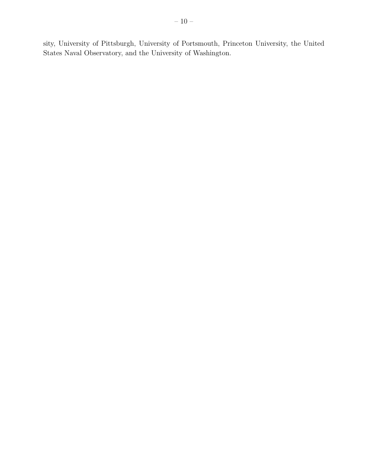sity, University of Pittsburgh, University of Portsmouth, Princeton University, the United States Naval Observatory, and the University of Washington.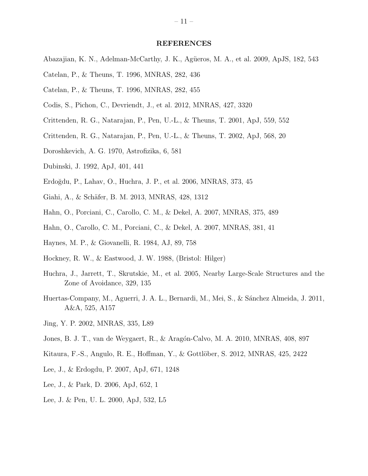#### REFERENCES

- <span id="page-10-8"></span>Abazajian, K. N., Adelman-McCarthy, J. K., Agüeros, M. A., et al. 2009, ApJS, 182, 543
- <span id="page-10-1"></span>Catelan, P., & Theuns, T. 1996, MNRAS, 282, 436
- <span id="page-10-2"></span>Catelan, P., & Theuns, T. 1996, MNRAS, 282, 455
- <span id="page-10-12"></span>Codis, S., Pichon, C., Devriendt, J., et al. 2012, MNRAS, 427, 3320
- <span id="page-10-5"></span>Crittenden, R. G., Natarajan, P., Pen, U.-L., & Theuns, T. 2001, ApJ, 559, 552
- <span id="page-10-6"></span>Crittenden, R. G., Natarajan, P., Pen, U.-L., & Theuns, T. 2002, ApJ, 568, 20
- <span id="page-10-0"></span>Doroshkevich, A. G. 1970, Astrofizika, 6, 581
- <span id="page-10-4"></span>Dubinski, J. 1992, ApJ, 401, 441
- <span id="page-10-7"></span>Erdo˘gdu, P., Lahav, O., Huchra, J. P., et al. 2006, MNRAS, 373, 45
- <span id="page-10-13"></span>Giahi, A., & Schäfer, B. M. 2013, MNRAS, 428, 1312
- <span id="page-10-15"></span>Hahn, O., Porciani, C., Carollo, C. M., & Dekel, A. 2007, MNRAS, 375, 489
- <span id="page-10-10"></span>Hahn, O., Carollo, C. M., Porciani, C., & Dekel, A. 2007, MNRAS, 381, 41
- <span id="page-10-16"></span>Haynes, M. P., & Giovanelli, R. 1984, AJ, 89, 758
- <span id="page-10-18"></span>Hockney, R. W., & Eastwood, J. W. 1988, (Bristol: Hilger)
- <span id="page-10-14"></span>Huchra, J., Jarrett, T., Skrutskie, M., et al. 2005, Nearby Large-Scale Structures and the Zone of Avoidance, 329, 135
- <span id="page-10-17"></span>Huertas-Company, M., Aguerri, J. A. L., Bernardi, M., Mei, S., & S´anchez Almeida, J. 2011, A&A, 525, A157
- <span id="page-10-9"></span>Jing, Y. P. 2002, MNRAS, 335, L89
- <span id="page-10-11"></span>Jones, B. J. T., van de Weygaert, R., & Aragón-Calvo, M. A. 2010, MNRAS, 408, 897
- <span id="page-10-19"></span>Kitaura, F.-S., Angulo, R. E., Hoffman, Y., & Gottlöber, S. 2012, MNRAS, 425, 2422
- Lee, J., & Erdogdu, P. 2007, ApJ, 671, 1248
- Lee, J., & Park, D. 2006, ApJ, 652, 1
- <span id="page-10-3"></span>Lee, J. & Pen, U. L. 2000, ApJ, 532, L5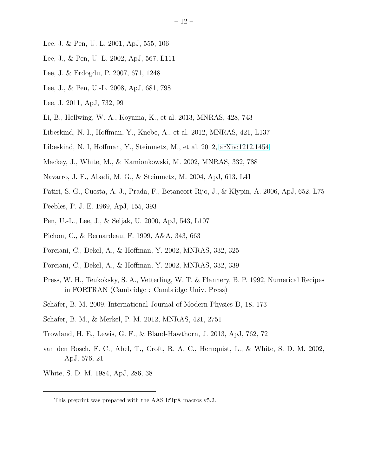- <span id="page-11-3"></span>Lee, J. & Pen, U. L. 2001, ApJ, 555, 106
- <span id="page-11-6"></span>Lee, J., & Pen, U.-L. 2002, ApJ, 567, L111
- <span id="page-11-9"></span>Lee, J. & Erdogdu, P. 2007, 671, 1248
- <span id="page-11-7"></span>Lee, J., & Pen, U.-L. 2008, ApJ, 681, 798
- <span id="page-11-10"></span>Lee, J. 2011, ApJ, 732, 99
- <span id="page-11-16"></span>Li, B., Hellwing, W. A., Koyama, K., et al. 2013, MNRAS, 428, 743
- <span id="page-11-12"></span>Libeskind, N. I., Hoffman, Y., Knebe, A., et al. 2012, MNRAS, 421, L137
- <span id="page-11-14"></span>Libeskind, N. I, Hoffman, Y., Steinmetz, M., et al. 2012, [arXiv:1212.1454](http://arxiv.org/abs/1212.1454)
- <span id="page-11-11"></span>Mackey, J., White, M., & Kamionkowski, M. 2002, MNRAS, 332, 788
- Navarro, J. F., Abadi, M. G., & Steinmetz, M. 2004, ApJ, 613, L41
- Patiri, S. G., Cuesta, A. J., Prada, F., Betancort-Rijo, J., & Klypin, A. 2006, ApJ, 652, L75
- <span id="page-11-0"></span>Peebles, P. J. E. 1969, ApJ, 155, 393
- <span id="page-11-2"></span>Pen, U.-L., Lee, J., & Seljak, U. 2000, ApJ, 543, L107
- Pichon, C., & Bernardeau, F. 1999, A&A, 343, 663
- <span id="page-11-4"></span>Porciani, C., Dekel, A., & Hoffman, Y. 2002, MNRAS, 332, 325
- <span id="page-11-5"></span>Porciani, C., Dekel, A., & Hoffman, Y. 2002, MNRAS, 332, 339
- <span id="page-11-15"></span>Press, W. H., Teukoksky, S. A., Vetterling, W. T. & Flannery, B. P. 1992, Numerical Recipes in FORTRAN (Cambridge : Cambridge Univ. Press)
- <span id="page-11-8"></span>Schäfer, B. M. 2009, International Journal of Modern Physics D, 18, 173
- Schäfer, B. M., & Merkel, P. M. 2012, MNRAS, 421, 2751
- <span id="page-11-13"></span>Trowland, H. E., Lewis, G. F., & Bland-Hawthorn, J. 2013, ApJ, 762, 72
- van den Bosch, F. C., Abel, T., Croft, R. A. C., Hernquist, L., & White, S. D. M. 2002, ApJ, 576, 21
- <span id="page-11-1"></span>White, S. D. M. 1984, ApJ, 286, 38

This preprint was prepared with the AAS LATEX macros v5.2.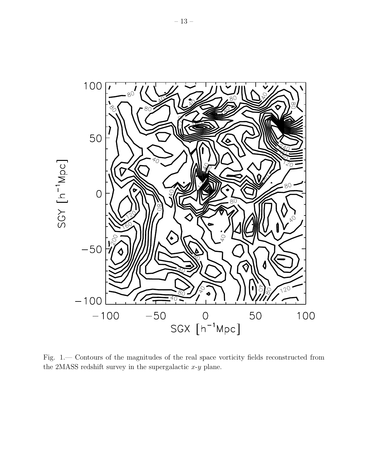

<span id="page-12-0"></span>Fig. 1.— Contours of the magnitudes of the real space vorticity fields reconstructed from the 2MASS redshift survey in the supergalactic  $x-y$  plane.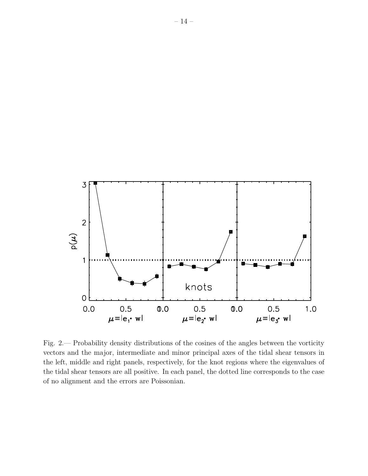

<span id="page-13-0"></span>Fig. 2.— Probability density distributions of the cosines of the angles between the vorticity vectors and the major, intermediate and minor principal axes of the tidal shear tensors in the left, middle and right panels, respectively, for the knot regions where the eigenvalues of the tidal shear tensors are all positive. In each panel, the dotted line corresponds to the case of no alignment and the errors are Poissonian.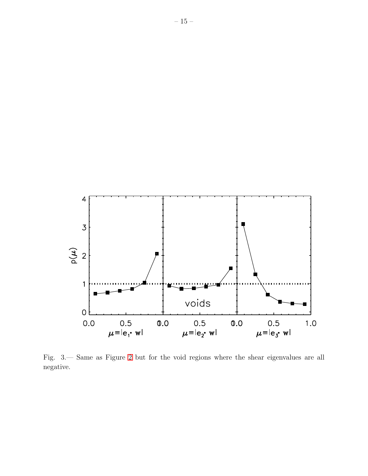

<span id="page-14-0"></span>Fig. 3.— Same as Figure [2](#page-13-0) but for the void regions where the shear eigenvalues are all negative.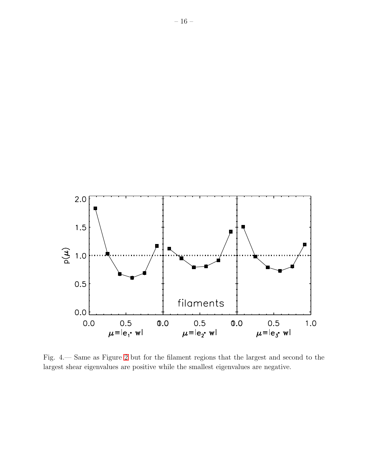

<span id="page-15-0"></span>Fig. 4.— Same as Figure [2](#page-13-0) but for the filament regions that the largest and second to the largest shear eigenvalues are positive while the smallest eigenvalues are negative.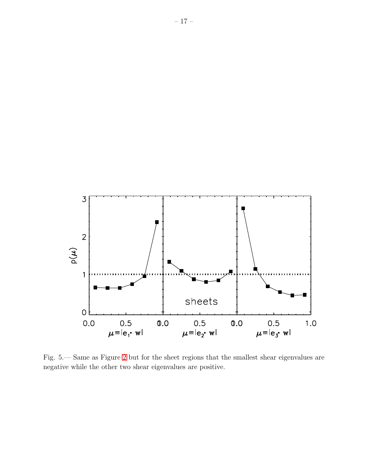

<span id="page-16-0"></span>Fig. 5.— Same as Figure [2](#page-13-0) but for the sheet regions that the smallest shear eigenvalues are negative while the other two shear eigenvalues are positive.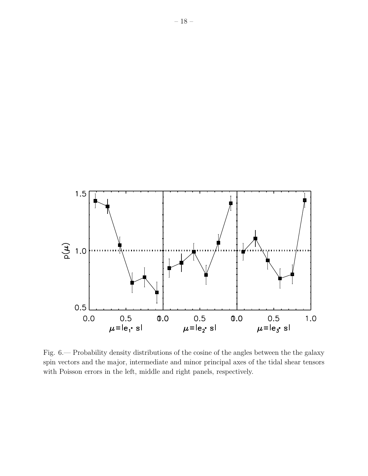

<span id="page-17-0"></span>Fig. 6.— Probability density distributions of the cosine of the angles between the the galaxy spin vectors and the major, intermediate and minor principal axes of the tidal shear tensors with Poisson errors in the left, middle and right panels, respectively.